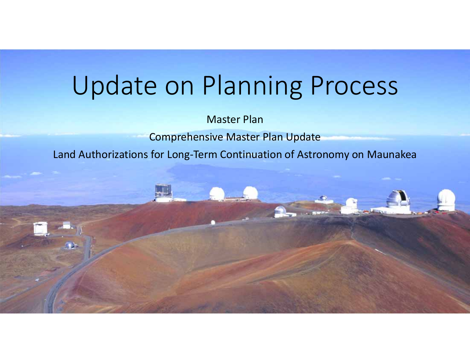# Update on Planning Process

Master Plan

Comprehensive Master Plan Update

Land Authorizations for Long‐Term Continuation of Astronomy on Maunakea

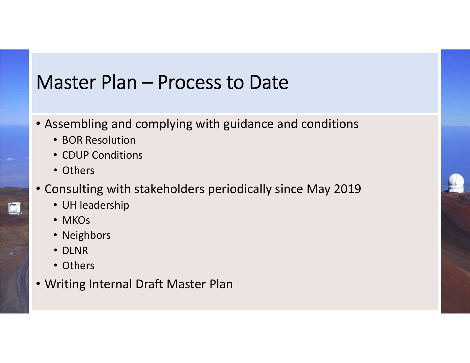### Master Plan – Process to Date

- Assembling and complying with guidance and conditions
	- BOR Resolution
	- CDUP Conditions
	- Others
- Consulting with stakeholders periodically since May 2019
	- UH leadership
	- MKOs
	- Neighbors
	- DLNR
	- Others
- Writing Internal Draft Master Plan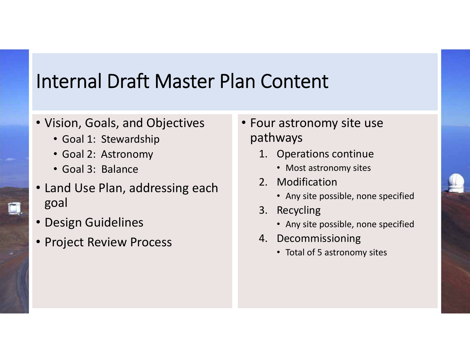### Internal Draft Master Plan Content

#### • Vision, Goals, and Objectives

- Goal 1: Stewardship
- Goal 2: Astronomy
- Goal 3: Balance
- Land Use Plan, addressing each goal
- Design Guidelines
- Project Review Process
- Four astronomy site use pathways
	- 1. Operations continue
		- Most astronomy sites
	- 2. Modification
		- Any site possible, none specified
	- 3. Recycling
		- Any site possible, none specified
	- 4. Decommissioning
		- Total of 5 astronomy sites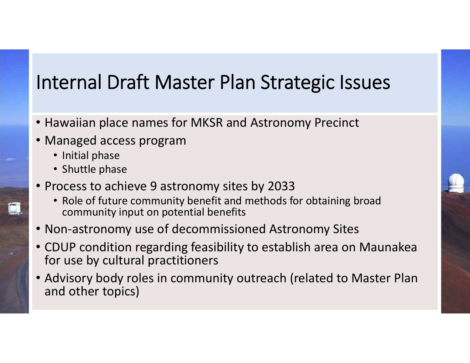# Internal Draft Master Plan Strategic Issues

- Hawaiian place names for MKSR and Astronomy Precinct
- Managed access program
	- Initial phase
	- Shuttle phase
- Process to achieve 9 astronomy sites by 2033
	- Role of future community benefit and methods for obtaining broad community input on potential benefits
- Non‐astronomy use of decommissioned Astronomy Sites
- CDUP condition regarding feasibility to establish area on Maunakea for use by cultural practitioners
- Advisory body roles in community outreach (related to Master Plan and other topics)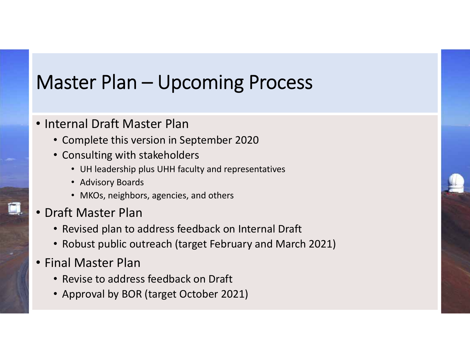# Master Plan – Upcoming Process

#### • Internal Draft Master Plan

- Complete this version in September 2020
- Consulting with stakeholders
	- UH leadership plus UHH faculty and representatives
	- Advisory Boards
	- MKOs, neighbors, agencies, and others
- Draft Master Plan
	- Revised plan to address feedback on Internal Draft
	- Robust public outreach (target February and March 2021)
- Final Master Plan
	- Revise to address feedback on Draft
	- Approval by BOR (target October 2021)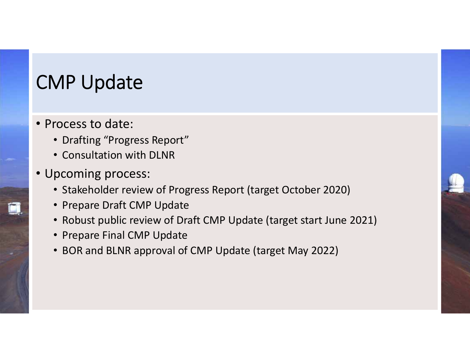# CMP Update

- Process to date:
	- Drafting "Progress Report"
	- Consultation with DLNR
- Upcoming process:
	- Stakeholder review of Progress Report (target October 2020)
	- Prepare Draft CMP Update
	- Robust public review of Draft CMP Update (target start June 2021)
	- Prepare Final CMP Update
	- BOR and BLNR approval of CMP Update (target May 2022)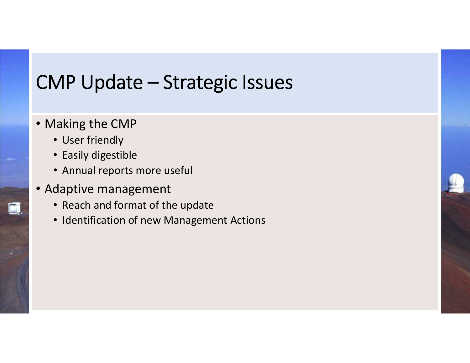## CMP Update – Strategic Issues

- Making the CMP
	- User friendly
	- Easily digestible
	- Annual reports more useful
- Adaptive management
	- Reach and format of the update
	- Identification of new Management Actions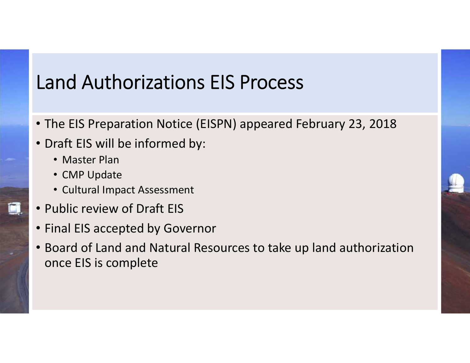# Land Authorizations EIS Process

- The EIS Preparation Notice (EISPN) appeared February 23, 2018
- Draft EIS will be informed by:
	- Master Plan
	- CMP Update
	- Cultural Impact Assessment
- Public review of Draft EIS
- Final EIS accepted by Governor
- Board of Land and Natural Resources to take up land authorization once EIS is complete